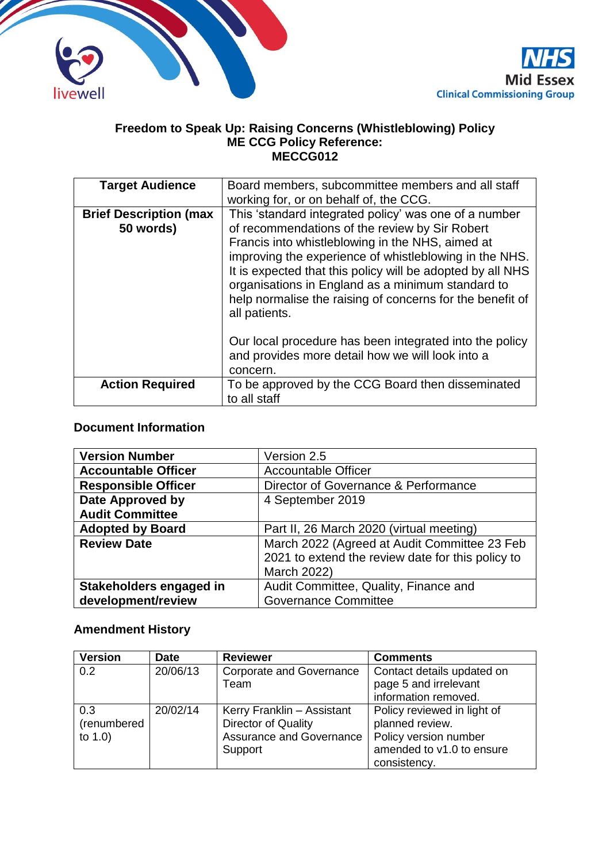



#### **Freedom to Speak Up: Raising Concerns (Whistleblowing) Policy ME CCG Policy Reference: MECCG012**

| <b>Target Audience</b>                     | Board members, subcommittee members and all staff<br>working for, or on behalf of, the CCG.                                                                                                                                                                                                                                                                                                                            |
|--------------------------------------------|------------------------------------------------------------------------------------------------------------------------------------------------------------------------------------------------------------------------------------------------------------------------------------------------------------------------------------------------------------------------------------------------------------------------|
| <b>Brief Description (max</b><br>50 words) | This 'standard integrated policy' was one of a number<br>of recommendations of the review by Sir Robert<br>Francis into whistleblowing in the NHS, aimed at<br>improving the experience of whistleblowing in the NHS.<br>It is expected that this policy will be adopted by all NHS<br>organisations in England as a minimum standard to<br>help normalise the raising of concerns for the benefit of<br>all patients. |
|                                            | Our local procedure has been integrated into the policy<br>and provides more detail how we will look into a<br>concern.                                                                                                                                                                                                                                                                                                |
| <b>Action Required</b>                     | To be approved by the CCG Board then disseminated<br>to all staff                                                                                                                                                                                                                                                                                                                                                      |

### **Document Information**

| <b>Version Number</b>      | Version 2.5                                       |
|----------------------------|---------------------------------------------------|
| <b>Accountable Officer</b> | <b>Accountable Officer</b>                        |
| <b>Responsible Officer</b> | Director of Governance & Performance              |
| Date Approved by           | 4 September 2019                                  |
| <b>Audit Committee</b>     |                                                   |
| <b>Adopted by Board</b>    | Part II, 26 March 2020 (virtual meeting)          |
| <b>Review Date</b>         | March 2022 (Agreed at Audit Committee 23 Feb      |
|                            | 2021 to extend the review date for this policy to |
|                            | March 2022)                                       |
| Stakeholders engaged in    | Audit Committee, Quality, Finance and             |
| development/review         | <b>Governance Committee</b>                       |

### **Amendment History**

| <b>Version</b>                   | <b>Date</b> | <b>Reviewer</b>                                                                          | <b>Comments</b>                                                                                                      |
|----------------------------------|-------------|------------------------------------------------------------------------------------------|----------------------------------------------------------------------------------------------------------------------|
| 0.2                              | 20/06/13    | <b>Corporate and Governance</b><br>Team                                                  | Contact details updated on<br>page 5 and irrelevant<br>information removed.                                          |
| 0.3<br>(renumbered<br>to $1.0$ ) | 20/02/14    | Kerry Franklin - Assistant<br>Director of Quality<br>Assurance and Governance<br>Support | Policy reviewed in light of<br>planned review.<br>Policy version number<br>amended to v1.0 to ensure<br>consistency. |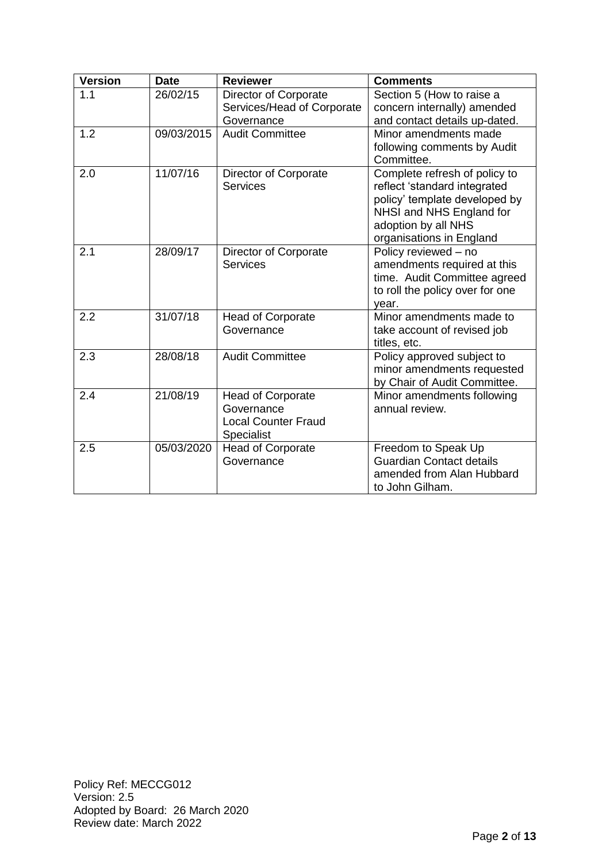| <b>Version</b> | <b>Date</b> | <b>Reviewer</b>                                                                           | <b>Comments</b>                                                                                                                                                               |
|----------------|-------------|-------------------------------------------------------------------------------------------|-------------------------------------------------------------------------------------------------------------------------------------------------------------------------------|
| 1.1            | 26/02/15    | Director of Corporate<br>Services/Head of Corporate<br>Governance                         | Section 5 (How to raise a<br>concern internally) amended<br>and contact details up-dated.                                                                                     |
| 1.2            | 09/03/2015  | <b>Audit Committee</b>                                                                    | Minor amendments made<br>following comments by Audit<br>Committee.                                                                                                            |
| 2.0            | 11/07/16    | Director of Corporate<br>Services                                                         | Complete refresh of policy to<br>reflect 'standard integrated<br>policy' template developed by<br>NHSI and NHS England for<br>adoption by all NHS<br>organisations in England |
| 2.1            | 28/09/17    | Director of Corporate<br>Services                                                         | Policy reviewed - no<br>amendments required at this<br>time. Audit Committee agreed<br>to roll the policy over for one<br>year.                                               |
| 2.2            | 31/07/18    | <b>Head of Corporate</b><br>Governance                                                    | Minor amendments made to<br>take account of revised job<br>titles, etc.                                                                                                       |
| 2.3            | 28/08/18    | <b>Audit Committee</b>                                                                    | Policy approved subject to<br>minor amendments requested<br>by Chair of Audit Committee.                                                                                      |
| 2.4            | 21/08/19    | <b>Head of Corporate</b><br>Governance<br><b>Local Counter Fraud</b><br><b>Specialist</b> | Minor amendments following<br>annual review.                                                                                                                                  |
| 2.5            | 05/03/2020  | <b>Head of Corporate</b><br>Governance                                                    | Freedom to Speak Up<br><b>Guardian Contact details</b><br>amended from Alan Hubbard<br>to John Gilham.                                                                        |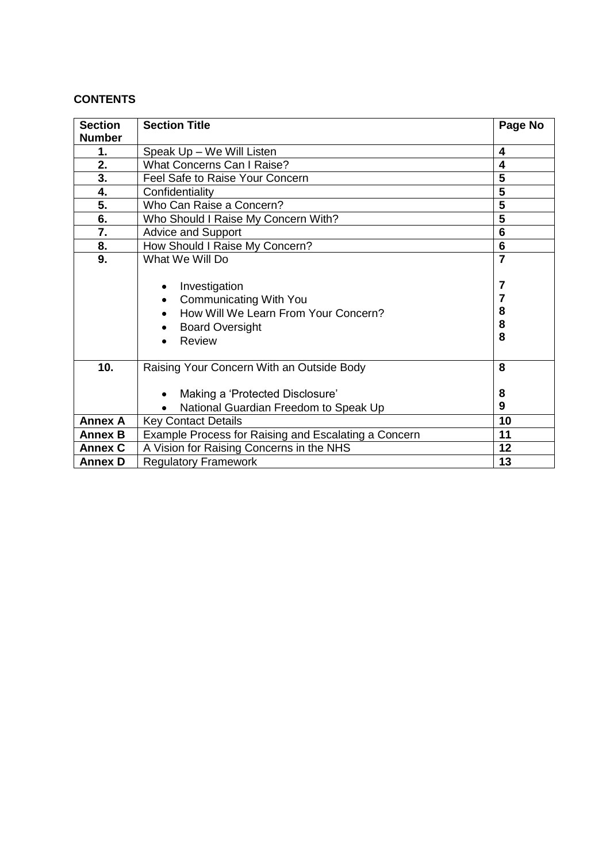### **CONTENTS**

| <b>Section</b>            | <b>Section Title</b>                                                                                                                                                                | Page No                            |
|---------------------------|-------------------------------------------------------------------------------------------------------------------------------------------------------------------------------------|------------------------------------|
| <b>Number</b>             |                                                                                                                                                                                     |                                    |
| 1.                        | Speak Up - We Will Listen                                                                                                                                                           | 4                                  |
| 2.                        | What Concerns Can I Raise?                                                                                                                                                          | $\overline{\mathbf{4}}$            |
| $\overline{\mathbf{3}}$ . | Feel Safe to Raise Your Concern                                                                                                                                                     | 5                                  |
| 4.                        | Confidentiality                                                                                                                                                                     | 5                                  |
| 5.                        | Who Can Raise a Concern?                                                                                                                                                            | 5                                  |
| 6.                        | Who Should I Raise My Concern With?                                                                                                                                                 | 5                                  |
| 7.                        | <b>Advice and Support</b>                                                                                                                                                           | 6                                  |
| 8.                        | How Should I Raise My Concern?                                                                                                                                                      | $6\phantom{1}6$                    |
| 9.                        | What We Will Do                                                                                                                                                                     |                                    |
|                           | Investigation<br>٠<br><b>Communicating With You</b><br>$\bullet$<br>How Will We Learn From Your Concern?<br>$\bullet$<br><b>Board Oversight</b><br>$\bullet$<br>Review<br>$\bullet$ | $\overline{7}$<br>7<br>8<br>8<br>8 |
| 10.                       | Raising Your Concern With an Outside Body<br>Making a 'Protected Disclosure'<br>National Guardian Freedom to Speak Up                                                               | 8<br>8<br>9                        |
| <b>Annex A</b>            | <b>Key Contact Details</b>                                                                                                                                                          | 10                                 |
| <b>Annex B</b>            | Example Process for Raising and Escalating a Concern                                                                                                                                | 11                                 |
| <b>Annex C</b>            |                                                                                                                                                                                     | 12                                 |
|                           | A Vision for Raising Concerns in the NHS                                                                                                                                            |                                    |
| <b>Annex D</b>            | <b>Regulatory Framework</b>                                                                                                                                                         | 13                                 |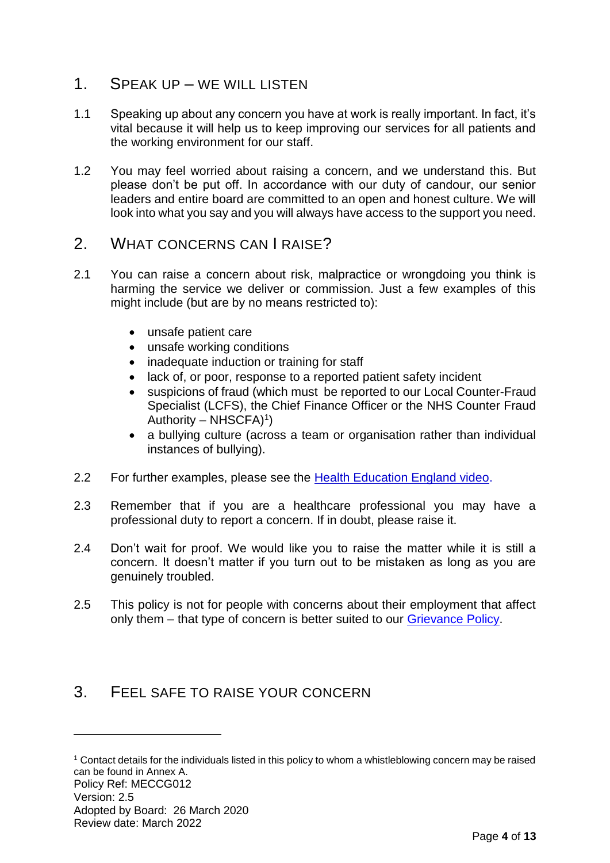- 1. SPEAK UP WE WILL LISTEN
- 1.1 Speaking up about any concern you have at work is really important. In fact, it's vital because it will help us to keep improving our services for all patients and the working environment for our staff.
- 1.2 You may feel worried about raising a concern, and we understand this. But please don't be put off. In accordance with our duty of candour, our senior leaders and entire board are committed to an open and honest culture. We will look into what you say and you will always have access to the support you need.

### 2. WHAT CONCERNS CAN I RAISE?

- 2.1 You can raise a concern about risk, malpractice or wrongdoing you think is harming the service we deliver or commission. Just a few examples of this might include (but are by no means restricted to):
	- unsafe patient care
	- unsafe working conditions
	- inadequate induction or training for staff
	- lack of, or poor, response to a reported patient safety incident
	- suspicions of fraud (which must be reported to our Local Counter-Fraud Specialist (LCFS), the Chief Finance Officer or the NHS Counter Fraud Authority – NHSCFA $)$ <sup>1</sup>)
	- a bullying culture (across a team or organisation rather than individual instances of bullying).
- 2.2 For further examples, please see the [Health Education England video.](https://www.youtube.com/watch?v=zjau1Ey0di8)
- 2.3 Remember that if you are a healthcare professional you may have a professional duty to report a concern. If in doubt, please raise it.
- 2.4 Don't wait for proof. We would like you to raise the matter while it is still a concern. It doesn't matter if you turn out to be mistaken as long as you are genuinely troubled.
- 2.5 This policy is not for people with concerns about their employment that affect only them – that type of concern is better suited to our [Grievance Policy.](https://midessexccg.nhs.uk/about-us/the-library/policy-library/hr-policies)

# 3. FEEL SAFE TO RAISE YOUR CONCERN

1

Policy Ref: MECCG012 Version: 2.5 Adopted by Board: 26 March 2020 Review date: March 2022 <sup>1</sup> Contact details for the individuals listed in this policy to whom a whistleblowing concern may be raised can be found in Annex A.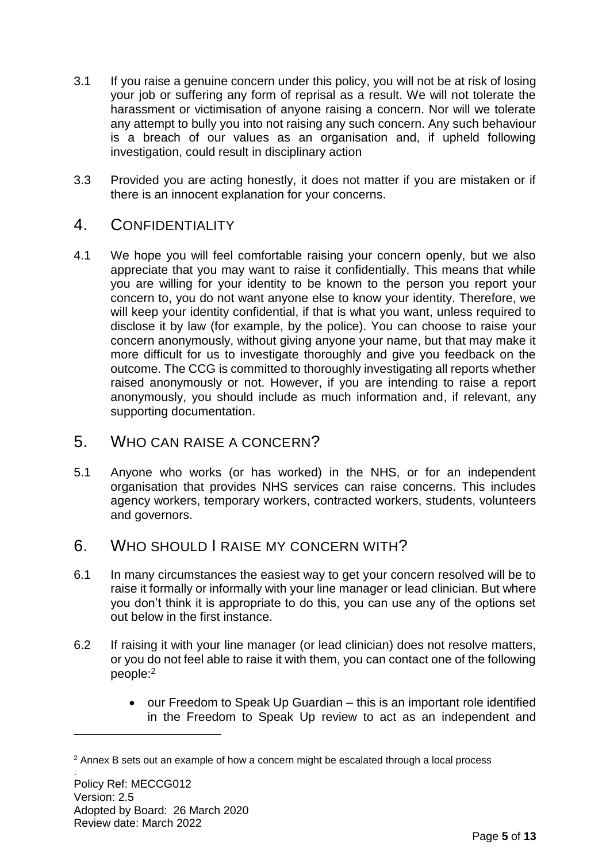- 3.1 If you raise a genuine concern under this policy, you will not be at risk of losing your job or suffering any form of reprisal as a result. We will not tolerate the harassment or victimisation of anyone raising a concern. Nor will we tolerate any attempt to bully you into not raising any such concern. Any such behaviour is a breach of our values as an organisation and, if upheld following investigation, could result in disciplinary action
- 3.3 Provided you are acting honestly, it does not matter if you are mistaken or if there is an innocent explanation for your concerns.

### 4. CONFIDENTIALITY

4.1 We hope you will feel comfortable raising your concern openly, but we also appreciate that you may want to raise it confidentially. This means that while you are willing for your identity to be known to the person you report your concern to, you do not want anyone else to know your identity. Therefore, we will keep your identity confidential, if that is what you want, unless required to disclose it by law (for example, by the police). You can choose to raise your concern anonymously, without giving anyone your name, but that may make it more difficult for us to investigate thoroughly and give you feedback on the outcome. The CCG is committed to thoroughly investigating all reports whether raised anonymously or not. However, if you are intending to raise a report anonymously, you should include as much information and, if relevant, any supporting documentation.

### 5. WHO CAN RAISE A CONCERN?

- 5.1 Anyone who works (or has worked) in the NHS, or for an independent organisation that provides NHS services can raise concerns. This includes agency workers, temporary workers, contracted workers, students, volunteers and governors.
- 6. WHO SHOULD LRAISE MY CONCERN WITH?
- 6.1 In many circumstances the easiest way to get your concern resolved will be to raise it formally or informally with your line manager or lead clinician. But where you don't think it is appropriate to do this, you can use any of the options set out below in the first instance.
- 6.2 If raising it with your line manager (or lead clinician) does not resolve matters, or you do not feel able to raise it with them, you can contact one of the following people:<sup>2</sup>
	- our Freedom to Speak Up Guardian this is an important role identified in the Freedom to Speak Up review to act as an independent and

1

.

<sup>2</sup> Annex B sets out an example of how a concern might be escalated through a local process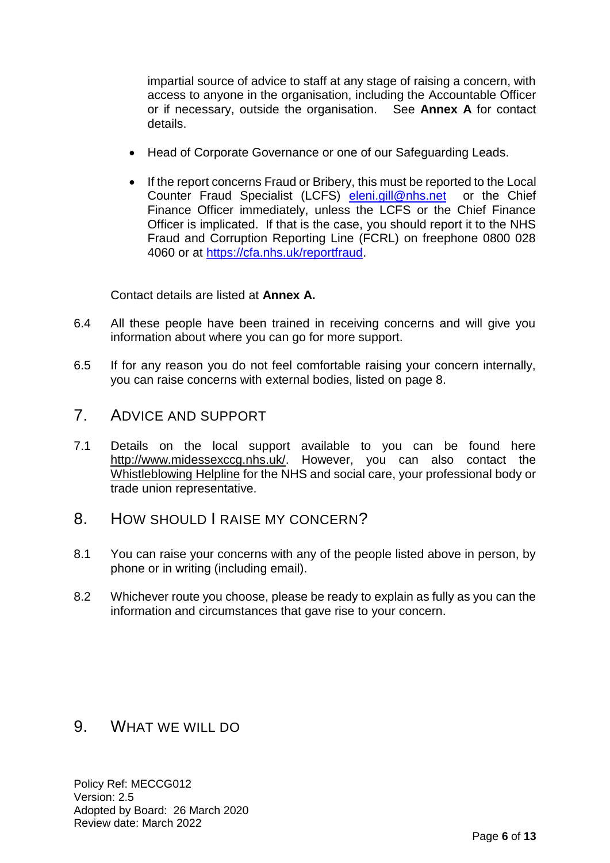impartial source of advice to staff at any stage of raising a concern, with access to anyone in the organisation, including the Accountable Officer or if necessary, outside the organisation. See **Annex A** for contact details.

- Head of Corporate Governance or one of our Safeguarding Leads.
- If the report concerns Fraud or Bribery, this must be reported to the Local Counter Fraud Specialist (LCFS) [eleni.gill@nhs.net](mailto:eleni.gill@nhs.net) or the Chief Finance Officer immediately, unless the LCFS or the Chief Finance Officer is implicated. If that is the case, you should report it to the NHS Fraud and Corruption Reporting Line (FCRL) on freephone 0800 028 4060 or at [https://cfa.nhs.uk/reportfraud.](https://cfa.nhs.uk/reportfraud)

Contact details are listed at **Annex A.**

- 6.4 All these people have been trained in receiving concerns and will give you information about where you can go for more support.
- 6.5 If for any reason you do not feel comfortable raising your concern internally, you can raise concerns with external bodies, listed on page 8.
- 7. ADVICE AND SUPPORT
- 7.1 Details on the local support available to you can be found here [http://www.midessexccg.nhs.uk/.](http://www.midessexccg.nhs.uk/) However, you can also contact the [Whistleblowing Helpline](http://wbhelpline.org.uk/) for the NHS and social care, your professional body or trade union representative.
- 8. HOW SHOULD I RAISE MY CONCERN?
- 8.1 You can raise your concerns with any of the people listed above in person, by phone or in writing (including email).
- 8.2 Whichever route you choose, please be ready to explain as fully as you can the information and circumstances that gave rise to your concern.

### 9. WHAT WE WILL DO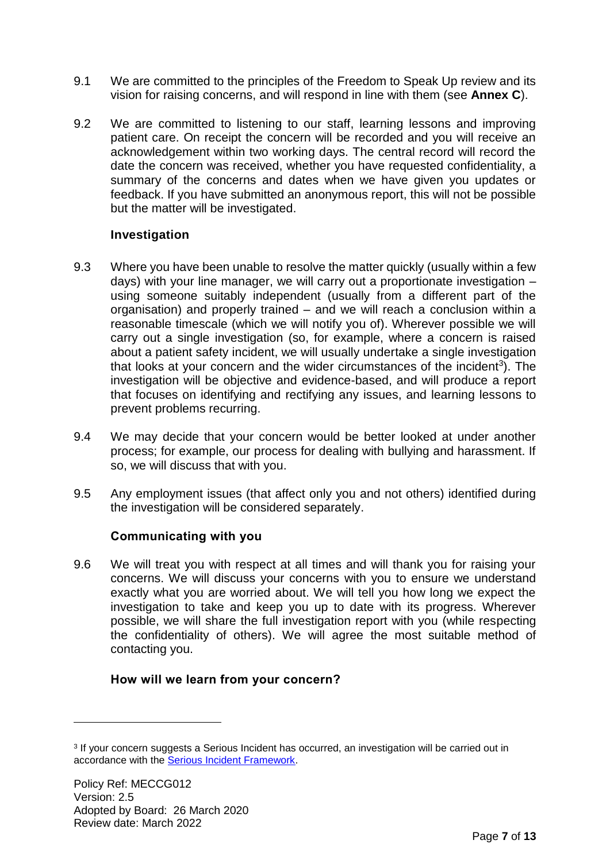- 9.1 We are committed to the principles of the Freedom to Speak Up review and its vision for raising concerns, and will respond in line with them (see **Annex C**).
- 9.2 We are committed to listening to our staff, learning lessons and improving patient care. On receipt the concern will be recorded and you will receive an acknowledgement within two working days. The central record will record the date the concern was received, whether you have requested confidentiality, a summary of the concerns and dates when we have given you updates or feedback. If you have submitted an anonymous report, this will not be possible but the matter will be investigated.

### **Investigation**

- 9.3 Where you have been unable to resolve the matter quickly (usually within a few days) with your line manager, we will carry out a proportionate investigation – using someone suitably independent (usually from a different part of the organisation) and properly trained – and we will reach a conclusion within a reasonable timescale (which we will notify you of). Wherever possible we will carry out a single investigation (so, for example, where a concern is raised about a patient safety incident, we will usually undertake a single investigation that looks at your concern and the wider circumstances of the incident<sup>3</sup>). The investigation will be objective and evidence-based, and will produce a report that focuses on identifying and rectifying any issues, and learning lessons to prevent problems recurring.
- 9.4 We may decide that your concern would be better looked at under another process; for example, our process for dealing with bullying and harassment. If so, we will discuss that with you.
- 9.5 Any employment issues (that affect only you and not others) identified during the investigation will be considered separately.

#### **Communicating with you**

9.6 We will treat you with respect at all times and will thank you for raising your concerns. We will discuss your concerns with you to ensure we understand exactly what you are worried about. We will tell you how long we expect the investigation to take and keep you up to date with its progress. Wherever possible, we will share the full investigation report with you (while respecting the confidentiality of others). We will agree the most suitable method of contacting you.

### **How will we learn from your concern?**

1

<sup>3</sup> If your concern suggests a Serious Incident has occurred, an investigation will be carried out in accordance with the [Serious Incident Framework.](https://www.england.nhs.uk/patientsafety/serious-incident/)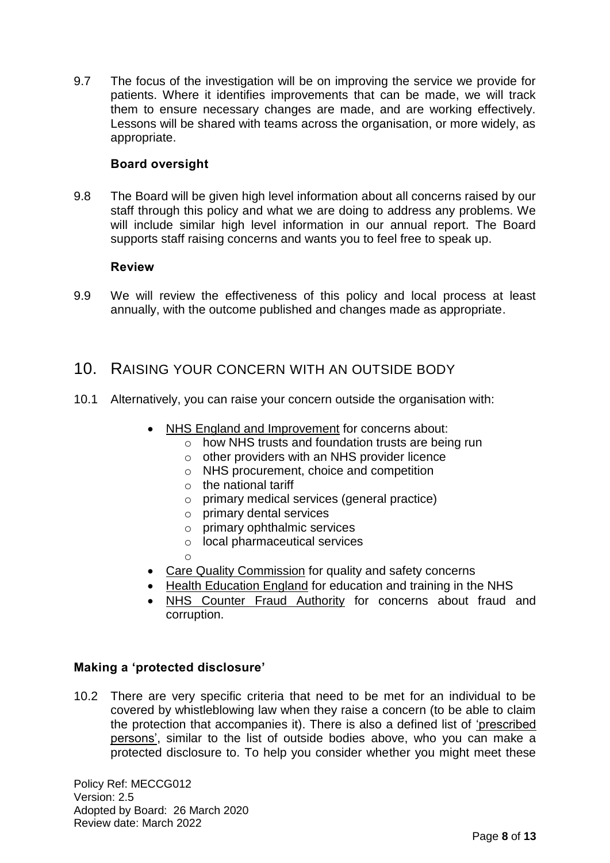9.7 The focus of the investigation will be on improving the service we provide for patients. Where it identifies improvements that can be made, we will track them to ensure necessary changes are made, and are working effectively. Lessons will be shared with teams across the organisation, or more widely, as appropriate.

### **Board oversight**

9.8 The Board will be given high level information about all concerns raised by our staff through this policy and what we are doing to address any problems. We will include similar high level information in our annual report. The Board supports staff raising concerns and wants you to feel free to speak up.

#### **Review**

9.9 We will review the effectiveness of this policy and local process at least annually, with the outcome published and changes made as appropriate.

### 10. RAISING YOUR CONCERN WITH AN OUTSIDE BODY

- 10.1 Alternatively, you can raise your concern outside the organisation with:
	- [NHS England and Improvement](https://www.gov.uk/government/organisations/monitor/about/complaints-procedure) for concerns about:
		- o how NHS trusts and foundation trusts are being run
		- o other providers with an NHS provider licence
		- o NHS procurement, choice and competition
		- $\circ$  the national tariff
		- o primary medical services (general practice)
		- o primary dental services
		- o primary ophthalmic services
		- o local pharmaceutical services
		- o
	- [Care Quality Commission](http://www.cqc.org.uk/content/who-we-are) for quality and safety concerns
	- [Health Education England](https://hee.nhs.uk/about-us/how-we-work) for education and training in the NHS
	- [NHS Counter](http://www.nhsbsa.nhs.uk/3350.aspx) Fraud Authority for concerns about fraud and corruption.

#### **Making a 'protected disclosure'**

10.2 There are very specific criteria that need to be met for an individual to be covered by whistleblowing law when they raise a concern (to be able to claim the protection that accompanies it). There is also a defined list of ['prescribed](https://www.gov.uk/government/uploads/system/uploads/attachment_data/file/510962/BIS-16-79-blowing-the-whistle-to-a-prescribed-person.pdf)  [persons',](https://www.gov.uk/government/uploads/system/uploads/attachment_data/file/510962/BIS-16-79-blowing-the-whistle-to-a-prescribed-person.pdf) similar to the list of outside bodies above, who you can make a protected disclosure to. To help you consider whether you might meet these

Policy Ref: MECCG012 Version: 2.5 Adopted by Board: 26 March 2020 Review date: March 2022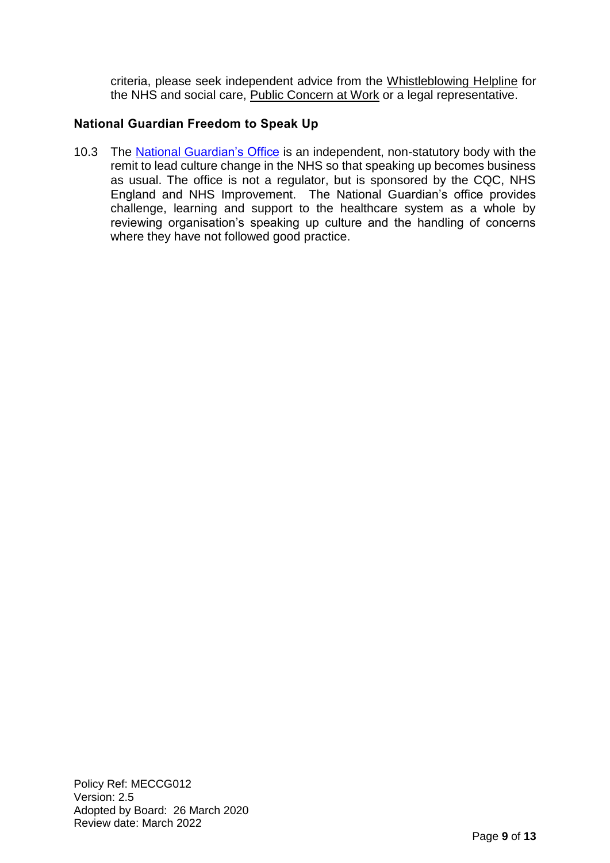criteria, please seek independent advice from the [Whistleblowing Helpline](http://wbhelpline.org.uk/) for the NHS and social care, [Public Concern at Work](http://www.pcaw.org.uk/) or a legal representative.

### **National Guardian Freedom to Speak Up**

10.3 The [National Guardian's Office](https://www.bing.com/search?q=national+guardian+freedom+to+speak+up&form=IENTHT&mkt=en-gb&httpsmsn=1&refig=5ef4dab7eb414c66989c4386334a14c1&sp=1&ghc=1&qs=AS&pq=national+guardian+free&sc=1-22&cvid=5ef4dab7eb414c66989c4386334a14c1) is an independent, non-statutory body with the remit to lead culture change in the NHS so that speaking up becomes business as usual. The office is not a regulator, but is sponsored by the CQC, NHS England and NHS Improvement. The National Guardian's office provides challenge, learning and support to the healthcare system as a whole by reviewing organisation's speaking up culture and the handling of concerns where they have not followed good practice.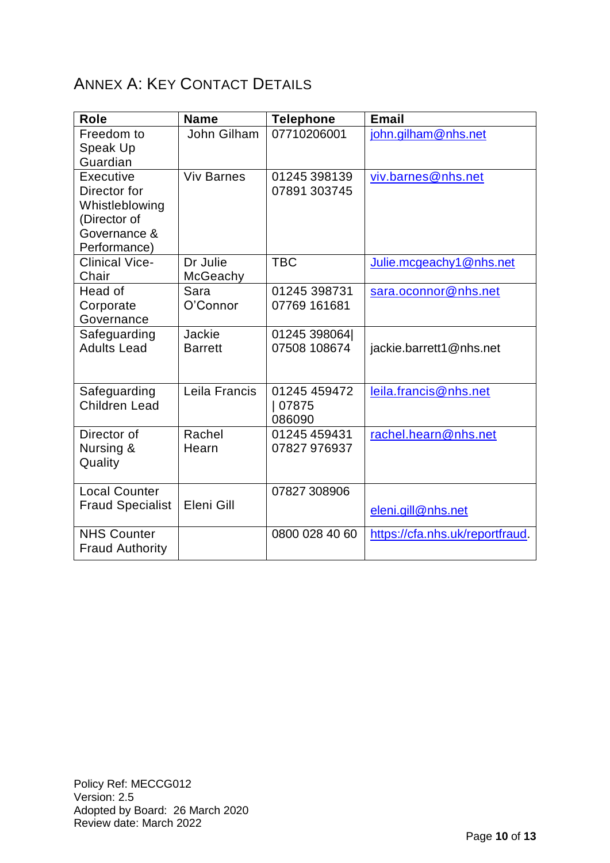# ANNEX A: KEY CONTACT DETAILS

| <b>Role</b>             | <b>Name</b>       | <b>Telephone</b> | <b>Email</b>                    |
|-------------------------|-------------------|------------------|---------------------------------|
| Freedom to              | John Gilham       | 07710206001      | john.gilham@nhs.net             |
| Speak Up                |                   |                  |                                 |
| Guardian                |                   |                  |                                 |
| Executive               | <b>Viv Barnes</b> | 01245 398139     | viv.barnes@nhs.net              |
| Director for            |                   | 07891 303745     |                                 |
| Whistleblowing          |                   |                  |                                 |
| (Director of            |                   |                  |                                 |
| Governance &            |                   |                  |                                 |
| Performance)            |                   |                  |                                 |
| <b>Clinical Vice-</b>   | Dr Julie          | <b>TBC</b>       | Julie.mcgeachy1@nhs.net         |
| Chair                   | McGeachy          |                  |                                 |
| Head of                 | Sara              | 01245 398731     | sara.oconnor@nhs.net            |
| Corporate               | O'Connor          | 07769 161681     |                                 |
| Governance              |                   |                  |                                 |
| Safeguarding            | Jackie            | 01245 398064     |                                 |
| <b>Adults Lead</b>      | <b>Barrett</b>    | 07508 108674     | jackie.barrett1@nhs.net         |
|                         |                   |                  |                                 |
| Safeguarding            | Leila Francis     | 01245 459472     | leila.francis@nhs.net           |
| Children Lead           |                   | 07875            |                                 |
|                         |                   | 086090           |                                 |
| Director of             | Rachel            | 01245 459431     | rachel.hearn@nhs.net            |
| Nursing &               | Hearn             | 07827 976937     |                                 |
| Quality                 |                   |                  |                                 |
|                         |                   |                  |                                 |
| <b>Local Counter</b>    |                   | 07827 308906     |                                 |
| <b>Fraud Specialist</b> | Eleni Gill        |                  | eleni.gill@nhs.net              |
| <b>NHS Counter</b>      |                   | 0800 028 40 60   | https://cfa.nhs.uk/reportfraud. |
| <b>Fraud Authority</b>  |                   |                  |                                 |
|                         |                   |                  |                                 |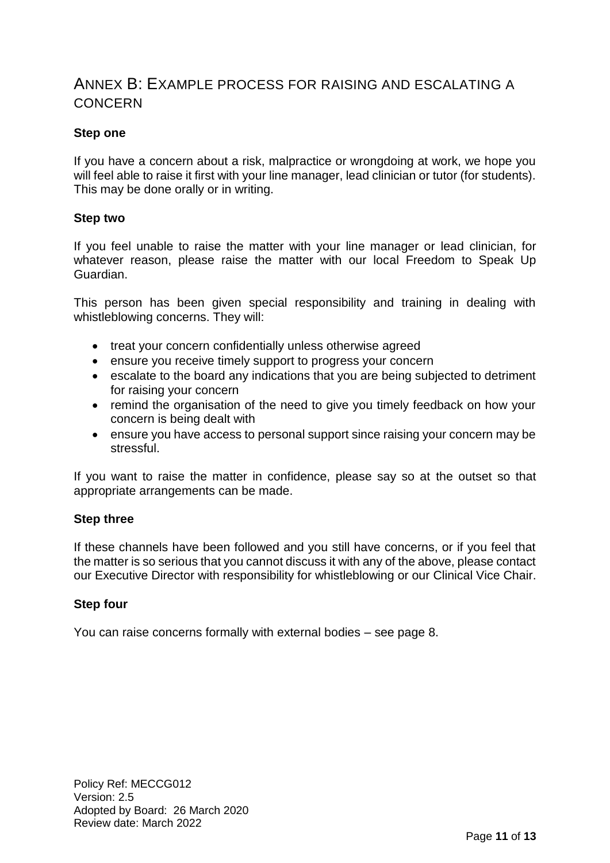# ANNEX B: EXAMPLE PROCESS FOR RAISING AND ESCALATING A CONCERN

### **Step one**

If you have a concern about a risk, malpractice or wrongdoing at work, we hope you will feel able to raise it first with your line manager, lead clinician or tutor (for students). This may be done orally or in writing.

#### **Step two**

If you feel unable to raise the matter with your line manager or lead clinician, for whatever reason, please raise the matter with our local Freedom to Speak Up Guardian.

This person has been given special responsibility and training in dealing with whistleblowing concerns. They will:

- treat your concern confidentially unless otherwise agreed
- ensure you receive timely support to progress your concern
- escalate to the board any indications that you are being subjected to detriment for raising your concern
- remind the organisation of the need to give you timely feedback on how your concern is being dealt with
- ensure you have access to personal support since raising your concern may be stressful.

If you want to raise the matter in confidence, please say so at the outset so that appropriate arrangements can be made.

#### **Step three**

If these channels have been followed and you still have concerns, or if you feel that the matter is so serious that you cannot discuss it with any of the above, please contact our Executive Director with responsibility for whistleblowing or our Clinical Vice Chair.

#### **Step four**

You can raise concerns formally with external bodies – see page 8.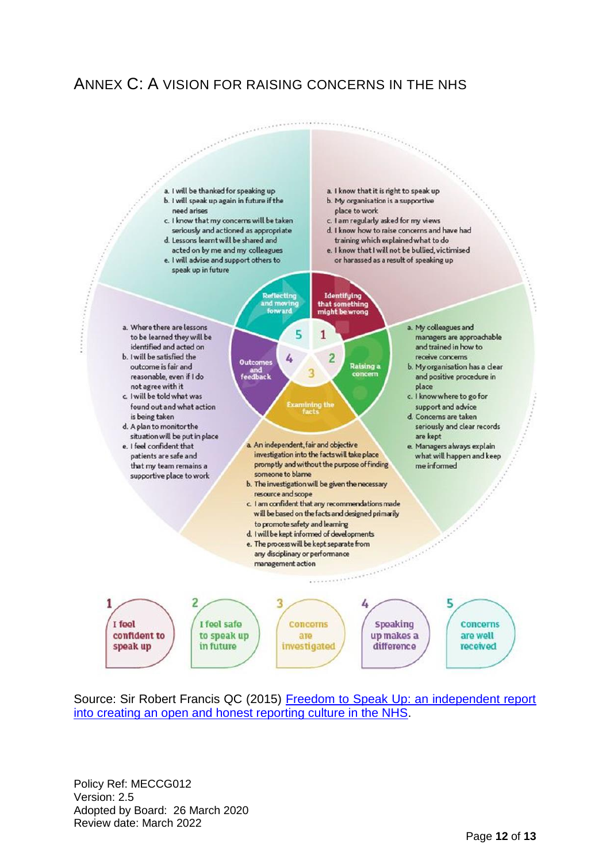# ANNEX C: A VISION FOR RAISING CONCERNS IN THE NHS



Source: Sir Robert Francis QC (2015) Freedom to Speak Up: an independent report [into creating an open and honest reporting culture in the NHS.](http://webarchive.nationalarchives.gov.uk/20150218150343/http:/freedomtospeakup.org.uk/the-report/)

Policy Ref: MECCG012 Version: 2.5 Adopted by Board: 26 March 2020 Review date: March 2022